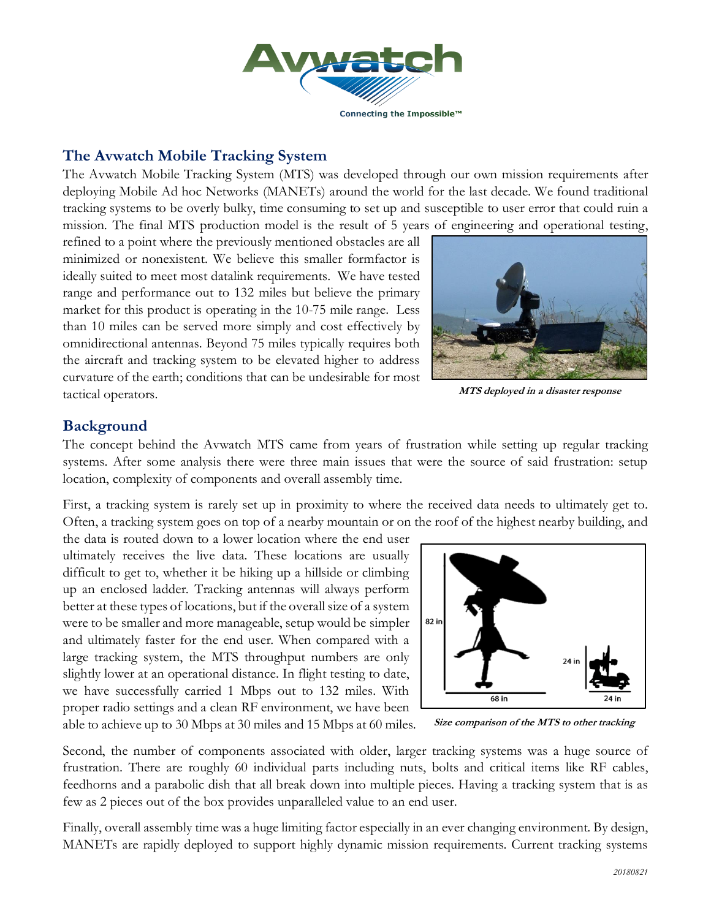

### **The Avwatch Mobile Tracking System**

The Avwatch Mobile Tracking System (MTS) was developed through our own mission requirements after deploying Mobile Ad hoc Networks (MANETs) around the world for the last decade. We found traditional tracking systems to be overly bulky, time consuming to set up and susceptible to user error that could ruin a mission. The final MTS production model is the result of 5 years of engineering and operational testing,

refined to a point where the previously mentioned obstacles are all minimized or nonexistent. We believe this smaller formfactor is ideally suited to meet most datalink requirements. We have tested range and performance out to 132 miles but believe the primary market for this product is operating in the 10-75 mile range. Less than 10 miles can be served more simply and cost effectively by omnidirectional antennas. Beyond 75 miles typically requires both the aircraft and tracking system to be elevated higher to address curvature of the earth; conditions that can be undesirable for most tactical operators.



**MTS deployed in a disaster response**

### **Background**

The concept behind the Avwatch MTS came from years of frustration while setting up regular tracking systems. After some analysis there were three main issues that were the source of said frustration: setup location, complexity of components and overall assembly time.

First, a tracking system is rarely set up in proximity to where the received data needs to ultimately get to. Often, a tracking system goes on top of a nearby mountain or on the roof of the highest nearby building, and

the data is routed down to a lower location where the end user ultimately receives the live data. These locations are usually difficult to get to, whether it be hiking up a hillside or climbing up an enclosed ladder. Tracking antennas will always perform better at these types of locations, but if the overall size of a system were to be smaller and more manageable, setup would be simpler and ultimately faster for the end user. When compared with a large tracking system, the MTS throughput numbers are only slightly lower at an operational distance. In flight testing to date, we have successfully carried 1 Mbps out to 132 miles. With proper radio settings and a clean RF environment, we have been able to achieve up to 30 Mbps at 30 miles and 15 Mbps at 60 miles.



**Size comparison of the MTS to other tracking** 

Second, the number of components associated with older, larger tracking systems was a huge source of frustration. There are roughly 60 individual parts including nuts, bolts and critical items like RF cables, feedhorns and a parabolic dish that all break down into multiple pieces. Having a tracking system that is as few as 2 pieces out of the box provides unparalleled value to an end user.

Finally, overall assembly time was a huge limiting factor especially in an ever changing environment. By design, MANETs are rapidly deployed to support highly dynamic mission requirements. Current tracking systems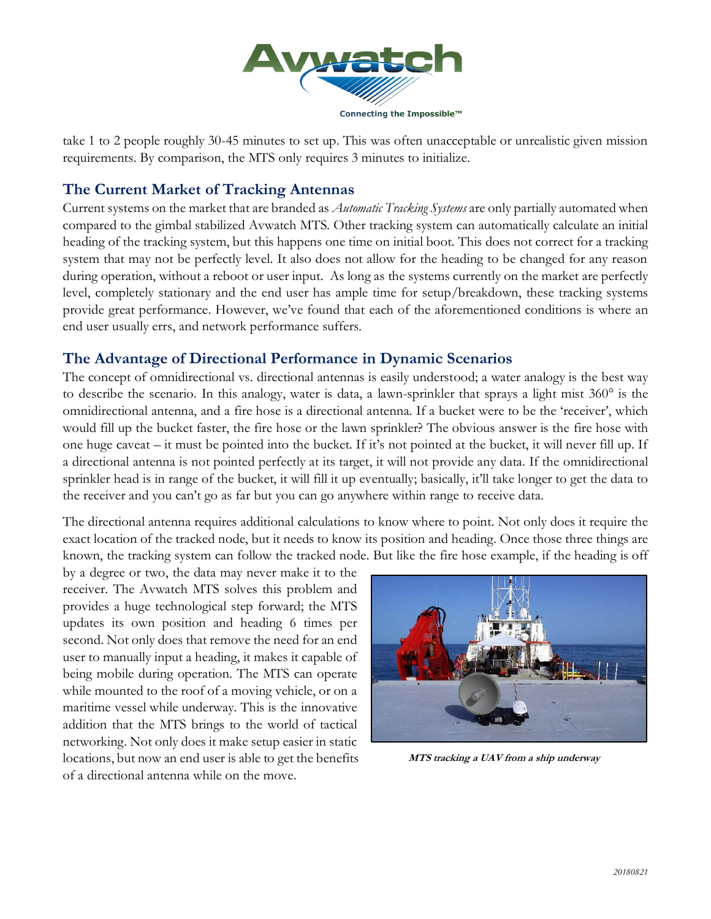

take 1 to 2 people roughly 30-45 minutes to set up. This was often unacceptable or unrealistic given mission requirements. By comparison, the MTS only requires 3 minutes to initialize.

# **The Current Market of Tracking Antennas**

Current systems on the market that are branded as *Automatic Tracking Systems* are only partially automated when compared to the gimbal stabilized Avwatch MTS. Other tracking system can automatically calculate an initial heading of the tracking system, but this happens one time on initial boot. This does not correct for a tracking system that may not be perfectly level. It also does not allow for the heading to be changed for any reason during operation, without a reboot or user input. As long as the systems currently on the market are perfectly level, completely stationary and the end user has ample time for setup/breakdown, these tracking systems provide great performance. However, we've found that each of the aforementioned conditions is where an end user usually errs, and network performance suffers.

## **The Advantage of Directional Performance in Dynamic Scenarios**

The concept of omnidirectional vs. directional antennas is easily understood; a water analogy is the best way to describe the scenario. In this analogy, water is data, a lawn-sprinkler that sprays a light mist 360° is the omnidirectional antenna, and a fire hose is a directional antenna. If a bucket were to be the 'receiver', which would fill up the bucket faster, the fire hose or the lawn sprinkler? The obvious answer is the fire hose with one huge caveat – it must be pointed into the bucket. If it's not pointed at the bucket, it will never fill up. If a directional antenna is not pointed perfectly at its target, it will not provide any data. If the omnidirectional sprinkler head is in range of the bucket, it will fill it up eventually; basically, it'll take longer to get the data to the receiver and you can't go as far but you can go anywhere within range to receive data.

The directional antenna requires additional calculations to know where to point. Not only does it require the exact location of the tracked node, but it needs to know its position and heading. Once those three things are known, the tracking system can follow the tracked node. But like the fire hose example, if the heading is off

by a degree or two, the data may never make it to the receiver. The Avwatch MTS solves this problem and provides a huge technological step forward; the MTS updates its own position and heading 6 times per second. Not only does that remove the need for an end user to manually input a heading, it makes it capable of being mobile during operation. The MTS can operate while mounted to the roof of a moving vehicle, or on a maritime vessel while underway. This is the innovative addition that the MTS brings to the world of tactical networking. Not only does it make setup easier in static locations, but now an end user is able to get the benefits of a directional antenna while on the move.



**MTS tracking a UAV from a ship underway**